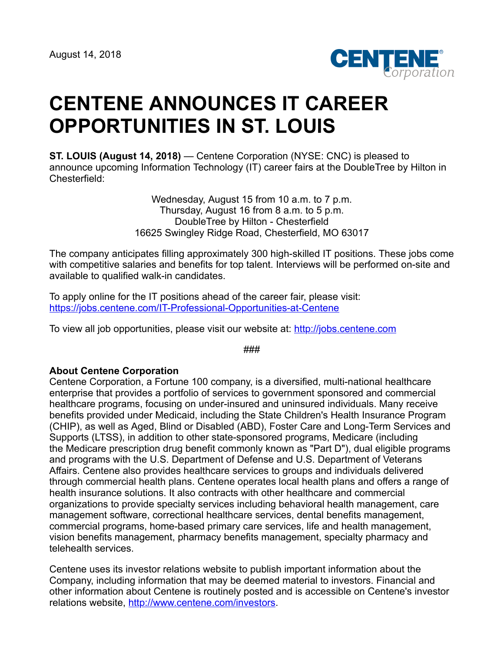

## **CENTENE ANNOUNCES IT CAREER OPPORTUNITIES IN ST. LOUIS**

**ST. LOUIS (August 14, 2018)** — Centene Corporation (NYSE: CNC) is pleased to announce upcoming Information Technology (IT) career fairs at the DoubleTree by Hilton in Chesterfield:

> Wednesday, August 15 from 10 a.m. to 7 p.m. Thursday, August 16 from 8 a.m. to 5 p.m. DoubleTree by Hilton - Chesterfield 16625 Swingley Ridge Road, Chesterfield, MO 63017

The company anticipates filling approximately 300 high-skilled IT positions. These jobs come with competitive salaries and benefits for top talent. Interviews will be performed on-site and available to qualified walk-in candidates.

To apply online for the IT positions ahead of the career fair, please visit: <https://jobs.centene.com/IT-Professional-Opportunities-at-Centene>

To view all job opportunities, please visit our website at: [http://jobs.centene.com](http://jobs.centene.com/)

###

## **About Centene Corporation**

Centene Corporation, a Fortune 100 company, is a diversified, multi-national healthcare enterprise that provides a portfolio of services to government sponsored and commercial healthcare programs, focusing on under-insured and uninsured individuals. Many receive benefits provided under Medicaid, including the State Children's Health Insurance Program (CHIP), as well as Aged, Blind or Disabled (ABD), Foster Care and Long-Term Services and Supports (LTSS), in addition to other state-sponsored programs, Medicare (including the Medicare prescription drug benefit commonly known as "Part D"), dual eligible programs and programs with the U.S. Department of Defense and U.S. Department of Veterans Affairs. Centene also provides healthcare services to groups and individuals delivered through commercial health plans. Centene operates local health plans and offers a range of health insurance solutions. It also contracts with other healthcare and commercial organizations to provide specialty services including behavioral health management, care management software, correctional healthcare services, dental benefits management, commercial programs, home-based primary care services, life and health management, vision benefits management, pharmacy benefits management, specialty pharmacy and telehealth services.

Centene uses its investor relations website to publish important information about the Company, including information that may be deemed material to investors. Financial and other information about Centene is routinely posted and is accessible on Centene's investor relations website, <http://www.centene.com/investors>.